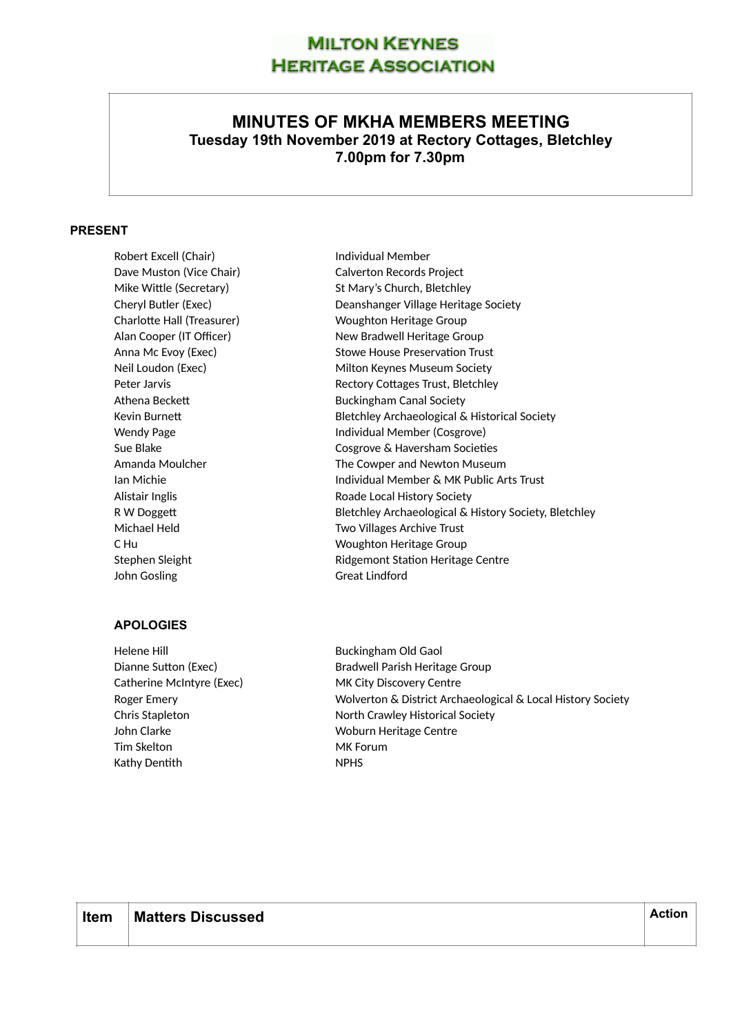# **MILTON KEYNES HERITAGE ASSOCIATION**

## **MINUTES OF MKHA MEMBERS MEETING Tuesday 19th November 2019 at Rectory Cottages, Bletchley 7.00pm for 7.30pm**

### **PRESENT**

Robert Excell (Chair) **Individual Member** John Gosling Great Lindford

## **APOLOGIES**

Helene Hill Buckingham Old Gaol Catherine McIntyre (Exec) MK City Discovery Centre John Clarke Woburn Heritage Centre Tim Skelton MK Forum Kathy Dentith NPHS

Dave Muston (Vice Chair) Calverton Records Project Mike Wittle (Secretary) St Mary's Church, Bletchley Cheryl Butler (Exec) Deanshanger Village Heritage Society Charlotte Hall (Treasurer) Woughton Heritage Group Alan Cooper (IT Officer) New Bradwell Heritage Group Anna Mc Evoy (Exec) Stowe House Preservation Trust Neil Loudon (Exec) Milton Keynes Museum Society Peter Jarvis **Rectory Cottages Trust, Bletchley** Athena Beckett **Buckingham Canal Society** Kevin Burnett **Burnets** Bletchley Archaeological & Historical Society Wendy Page **Individual Member (Cosgrove)** Sue Blake Cosgrove & Haversham Societies Amanda Moulcher The Cowper and Newton Museum Ian Michie Individual Member & MK Public Arts Trust Alistair Inglis **Alistair Inglishing Community** Roade Local History Society R W Doggett **Bletchley Archaeological & History Society, Bletchley** Michael Held **Two Villages Archive Trust** C Hu **Channel C Hu Woughton Heritage Group** Stephen Sleight **Ridgemont Station Heritage Centre** 

Dianne Sutton (Exec) and Bradwell Parish Heritage Group Roger Emery Wolverton & District Archaeological & Local History Society Chris Stapleton North Crawley Historical Society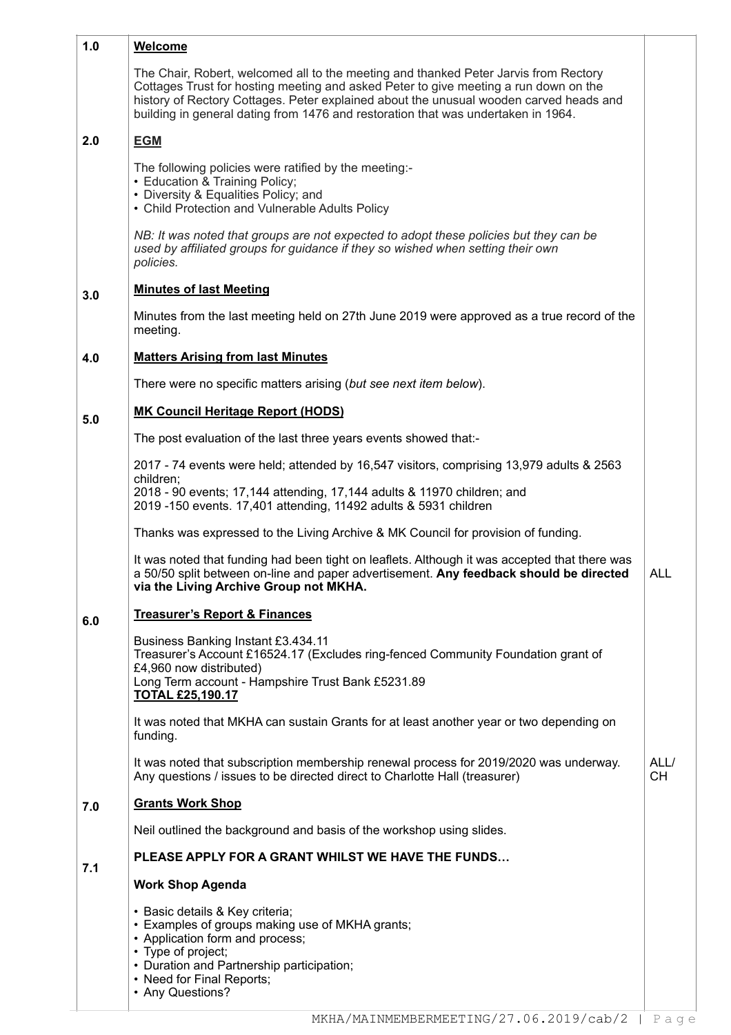| 1.0 | Welcome                                                                                                                                                                                                                                                                                                                                                     |                   |
|-----|-------------------------------------------------------------------------------------------------------------------------------------------------------------------------------------------------------------------------------------------------------------------------------------------------------------------------------------------------------------|-------------------|
|     | The Chair, Robert, welcomed all to the meeting and thanked Peter Jarvis from Rectory<br>Cottages Trust for hosting meeting and asked Peter to give meeting a run down on the<br>history of Rectory Cottages. Peter explained about the unusual wooden carved heads and<br>building in general dating from 1476 and restoration that was undertaken in 1964. |                   |
| 2.0 | <b>EGM</b>                                                                                                                                                                                                                                                                                                                                                  |                   |
|     | The following policies were ratified by the meeting:-<br>• Education & Training Policy;<br>• Diversity & Equalities Policy; and<br>• Child Protection and Vulnerable Adults Policy                                                                                                                                                                          |                   |
|     | NB: It was noted that groups are not expected to adopt these policies but they can be<br>used by affiliated groups for guidance if they so wished when setting their own<br>policies.                                                                                                                                                                       |                   |
| 3.0 | <b>Minutes of last Meeting</b>                                                                                                                                                                                                                                                                                                                              |                   |
|     | Minutes from the last meeting held on 27th June 2019 were approved as a true record of the<br>meeting.                                                                                                                                                                                                                                                      |                   |
| 4.0 | <b>Matters Arising from last Minutes</b>                                                                                                                                                                                                                                                                                                                    |                   |
|     | There were no specific matters arising (but see next item below).                                                                                                                                                                                                                                                                                           |                   |
| 5.0 | <b>MK Council Heritage Report (HODS)</b>                                                                                                                                                                                                                                                                                                                    |                   |
|     | The post evaluation of the last three years events showed that:-                                                                                                                                                                                                                                                                                            |                   |
|     | 2017 - 74 events were held; attended by 16,547 visitors, comprising 13,979 adults & 2563                                                                                                                                                                                                                                                                    |                   |
|     | children;<br>2018 - 90 events; 17,144 attending, 17,144 adults & 11970 children; and<br>2019 -150 events. 17,401 attending, 11492 adults & 5931 children                                                                                                                                                                                                    |                   |
|     | Thanks was expressed to the Living Archive & MK Council for provision of funding.                                                                                                                                                                                                                                                                           |                   |
|     | It was noted that funding had been tight on leaflets. Although it was accepted that there was<br>a 50/50 split between on-line and paper advertisement. Any feedback should be directed<br>via the Living Archive Group not MKHA.                                                                                                                           | <b>ALL</b>        |
| 6.0 | <b>Treasurer's Report &amp; Finances</b>                                                                                                                                                                                                                                                                                                                    |                   |
|     | Business Banking Instant £3.434.11<br>Treasurer's Account £16524.17 (Excludes ring-fenced Community Foundation grant of<br>£4,960 now distributed)<br>Long Term account - Hampshire Trust Bank £5231.89<br><b>TOTAL £25,190.17</b>                                                                                                                          |                   |
|     | It was noted that MKHA can sustain Grants for at least another year or two depending on<br>funding.                                                                                                                                                                                                                                                         |                   |
|     | It was noted that subscription membership renewal process for 2019/2020 was underway.<br>Any questions / issues to be directed direct to Charlotte Hall (treasurer)                                                                                                                                                                                         | ALL/<br><b>CH</b> |
| 7.0 | <b>Grants Work Shop</b>                                                                                                                                                                                                                                                                                                                                     |                   |
|     | Neil outlined the background and basis of the workshop using slides.                                                                                                                                                                                                                                                                                        |                   |
| 7.1 | PLEASE APPLY FOR A GRANT WHILST WE HAVE THE FUNDS                                                                                                                                                                                                                                                                                                           |                   |
|     | <b>Work Shop Agenda</b>                                                                                                                                                                                                                                                                                                                                     |                   |
|     | · Basic details & Key criteria;<br>• Examples of groups making use of MKHA grants;<br>• Application form and process;<br>• Type of project;<br>• Duration and Partnership participation;<br>• Need for Final Reports;<br>• Any Questions?                                                                                                                   |                   |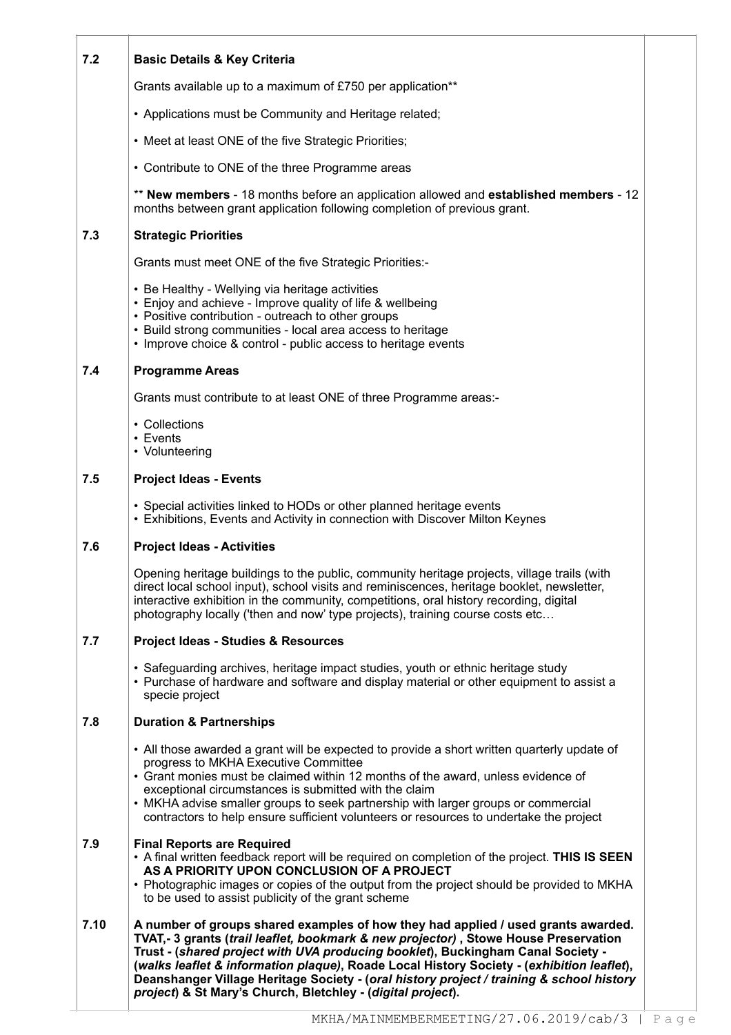#### **7.2 Basic Details & Key Criteria**

Grants available up to a maximum of £750 per application\*\*

- Applications must be Community and Heritage related;
- Meet at least ONE of the five Strategic Priorities;
- Contribute to ONE of the three Programme areas

\*\* **New members** - 18 months before an application allowed and **established members** - 12 months between grant application following completion of previous grant.

#### **7.3 Strategic Priorities**

Grants must meet ONE of the five Strategic Priorities:-

- Be Healthy Wellying via heritage activities
- Enjoy and achieve Improve quality of life & wellbeing
- Positive contribution outreach to other groups
- Build strong communities local area access to heritage
- Improve choice & control public access to heritage events

#### **7.4 Programme Areas**

Grants must contribute to at least ONE of three Programme areas:-

- Collections
- Events
- Volunteering

#### **7.5 Project Ideas - Events**

- Special activities linked to HODs or other planned heritage events
- Exhibitions, Events and Activity in connection with Discover Milton Keynes

#### **7.6 Project Ideas - Activities**

Opening heritage buildings to the public, community heritage projects, village trails (with direct local school input), school visits and reminiscences, heritage booklet, newsletter, interactive exhibition in the community, competitions, oral history recording, digital photography locally ('then and now' type projects), training course costs etc…

#### **7.7 Project Ideas - Studies & Resources**

• Safeguarding archives, heritage impact studies, youth or ethnic heritage study

• Purchase of hardware and software and display material or other equipment to assist a specie project

#### **7.8 Duration & Partnerships**

- All those awarded a grant will be expected to provide a short written quarterly update of progress to MKHA Executive Committee
- Grant monies must be claimed within 12 months of the award, unless evidence of exceptional circumstances is submitted with the claim
- MKHA advise smaller groups to seek partnership with larger groups or commercial contractors to help ensure sufficient volunteers or resources to undertake the project

#### **7.9 Final Reports are Required**

- A final written feedback report will be required on completion of the project. **THIS IS SEEN AS A PRIORITY UPON CONCLUSION OF A PROJECT**
- Photographic images or copies of the output from the project should be provided to MKHA to be used to assist publicity of the grant scheme

**7.10 A number of groups shared examples of how they had applied / used grants awarded. TVAT,- 3 grants (***trail leaflet, bookmark & new projector)* **, Stowe House Preservation Trust - (***shared project with UVA producing booklet***), Buckingham Canal Society - (***walks leaflet & information plaque)***, Roade Local History Society - (***exhibition leaflet***), Deanshanger Village Heritage Society - (***oral history project / training & school history project***) & St Mary's Church, Bletchley - (***digital project***).**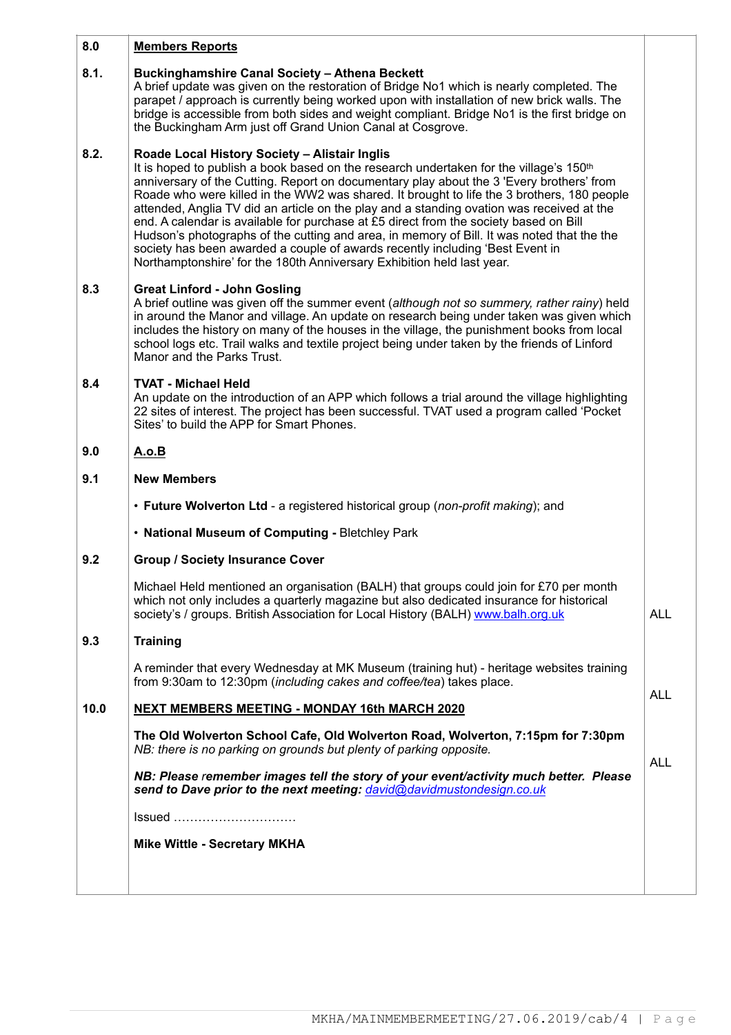#### **8.0 Members Reports**

#### **8.1. Buckinghamshire Canal Society – Athena Beckett**

A brief update was given on the restoration of Bridge No1 which is nearly completed. The parapet / approach is currently being worked upon with installation of new brick walls. The bridge is accessible from both sides and weight compliant. Bridge No1 is the first bridge on the Buckingham Arm just off Grand Union Canal at Cosgrove.

#### **8.2. Roade Local History Society – Alistair Inglis**

It is hoped to publish a book based on the research undertaken for the village's 150<sup>th</sup> anniversary of the Cutting. Report on documentary play about the 3 'Every brothers' from Roade who were killed in the WW2 was shared. It brought to life the 3 brothers, 180 people attended, Anglia TV did an article on the play and a standing ovation was received at the end. A calendar is available for purchase at £5 direct from the society based on Bill Hudson's photographs of the cutting and area, in memory of Bill. It was noted that the the society has been awarded a couple of awards recently including 'Best Event in Northamptonshire' for the 180th Anniversary Exhibition held last year.

#### **8.3 Great Linford - John Gosling**

A brief outline was given off the summer event (*although not so summery, rather rainy*) held in around the Manor and village. An update on research being under taken was given which includes the history on many of the houses in the village, the punishment books from local school logs etc. Trail walks and textile project being under taken by the friends of Linford Manor and the Parks Trust.

#### **8.4 TVAT - Michael Held**

An update on the introduction of an APP which follows a trial around the village highlighting 22 sites of interest. The project has been successful. TVAT used a program called 'Pocket Sites' to build the APP for Smart Phones.

#### **9.0 A.o.B**

#### **9.1 New Members**

• **Future Wolverton Ltd** - a registered historical group (*non-profit making*); and

- **National Museum of Computing** Bletchley Park
- **9.2 Group / Society Insurance Cover**

Michael Held mentioned an organisation (BALH) that groups could join for £70 per month which not only includes a quarterly magazine but also dedicated insurance for historical society's / groups. British Association for Local History (BALH) [www.balh.org.uk](http://www.balh.org.uk)

#### **9.3 Training**

A reminder that every Wednesday at MK Museum (training hut) - heritage websites training from 9:30am to 12:30pm (*including cakes and coffee/tea*) takes place.

#### **10.0 NEXT MEMBERS MEETING - MONDAY 16th MARCH 2020**

**The Old Wolverton School Cafe, Old Wolverton Road, Wolverton, 7:15pm for 7:30pm**  *NB: there is no parking on grounds but plenty of parking opposite.* 

*NB: Please remember images tell the story of your event/activity much better. Please send to Dave prior to the next meeting: [david@davidmustondesign.co.uk](mailto:david@davidmustondesign.co.uk)*

Issued …………………………

**Mike Wittle - Secretary MKHA**

ALL

ALL

ALL